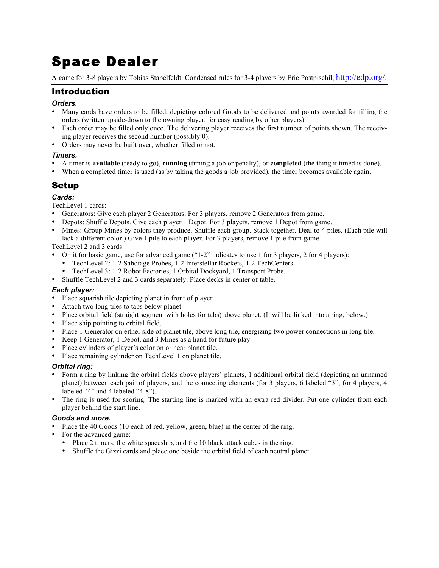# Space Dealer

A game for 3-8 players by Tobias Stapelfeldt. Condensed rules for 3-4 players by Eric Postpischil, http://edp.org/.

## Introduction

#### *Orders.*

- Many cards have orders to be filled, depicting colored Goods to be delivered and points awarded for filling the orders (written upside-down to the owning player, for easy reading by other players).
- Each order may be filled only once. The delivering player receives the first number of points shown. The receiving player receives the second number (possibly 0).
- Orders may never be built over, whether filled or not.

#### *Timers.*

- A timer is **available** (ready to go), **running** (timing a job or penalty), or **completed** (the thing it timed is done).
- When a completed timer is used (as by taking the goods a job provided), the timer becomes available again.

# Setup

#### *Cards:*

TechLevel 1 cards:

- Generators: Give each player 2 Generators. For 3 players, remove 2 Generators from game.
- Depots: Shuffle Depots. Give each player 1 Depot. For 3 players, remove 1 Depot from game.
- Mines: Group Mines by colors they produce. Shuffle each group. Stack together. Deal to 4 piles. (Each pile will lack a different color.) Give 1 pile to each player. For 3 players, remove 1 pile from game.

TechLevel 2 and 3 cards:

- Omit for basic game, use for advanced game ("1-2" indicates to use 1 for 3 players, 2 for 4 players):
	- TechLevel 2: 1-2 Sabotage Probes, 1-2 Interstellar Rockets, 1-2 TechCenters.
	- TechLevel 3: 1-2 Robot Factories, 1 Orbital Dockyard, 1 Transport Probe.
- Shuffle TechLevel 2 and 3 cards separately. Place decks in center of table.

#### *Each player:*

- Place squarish tile depicting planet in front of player.
- Attach two long tiles to tabs below planet.
- Place orbital field (straight segment with holes for tabs) above planet. (It will be linked into a ring, below.)<br>• Place ship pointing to orbital field
- Place ship pointing to orbital field.
- Place 1 Generator on either side of planet tile, above long tile, energizing two power connections in long tile.
- Keep 1 Generator, 1 Depot, and 3 Mines as a hand for future play.
- Place cylinders of player's color on or near planet tile.
- Place remaining cylinder on TechLevel 1 on planet tile.

#### *Orbital ring:*

- Form a ring by linking the orbital fields above players' planets, 1 additional orbital field (depicting an unnamed planet) between each pair of players, and the connecting elements (for 3 players, 6 labeled "3"; for 4 players, 4 labeled "4" and 4 labeled "4-8").
- The ring is used for scoring. The starting line is marked with an extra red divider. Put one cylinder from each player behind the start line.

#### *Goods and more.*

- Place the 40 Goods (10 each of red, yellow, green, blue) in the center of the ring.
- For the advanced game:
	- Place 2 timers, the white spaceship, and the 10 black attack cubes in the ring.
	- Shuffle the Gizzi cards and place one beside the orbital field of each neutral planet.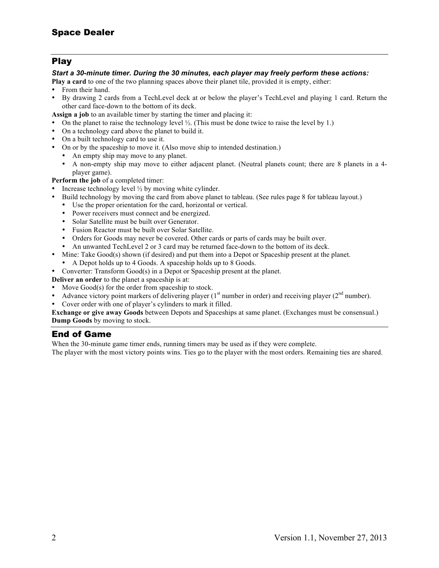## Play

#### *Start a 30-minute timer. During the 30 minutes, each player may freely perform these actions:*

**Play a card** to one of the two planning spaces above their planet tile, provided it is empty, either:

- From their hand.
- By drawing 2 cards from a TechLevel deck at or below the player's TechLevel and playing 1 card. Return the other card face-down to the bottom of its deck.
- **Assign a job** to an available timer by starting the timer and placing it:
- On the planet to raise the technology level  $\frac{1}{2}$ . (This must be done twice to raise the level by 1.)
- On a technology card above the planet to build it.
- On a built technology card to use it.
- On or by the spaceship to move it. (Also move ship to intended destination.)
	- An empty ship may move to any planet.
	- A non-empty ship may move to either adjacent planet. (Neutral planets count; there are 8 planets in a 4 player game).

**Perform the job** of a completed timer:

- Increase technology level  $\frac{1}{2}$  by moving white cylinder.
- Build technology by moving the card from above planet to tableau. (See rules page 8 for tableau layout.)
	- Use the proper orientation for the card, horizontal or vertical.
	- Power receivers must connect and be energized.<br>• Solar Satellite must be built over Generator
	- Solar Satellite must be built over Generator.
	- Fusion Reactor must be built over Solar Satellite.
	- Orders for Goods may never be covered. Other cards or parts of cards may be built over.<br>• An unwanted TechLevel 2 or 3 card may be returned face-down to the bottom of its deck
	- An unwanted TechLevel 2 or 3 card may be returned face-down to the bottom of its deck.
- Mine: Take Good(s) shown (if desired) and put them into a Depot or Spaceship present at the planet.
	- A Depot holds up to 4 Goods. A spaceship holds up to 8 Goods.
- Converter: Transform Good(s) in a Depot or Spaceship present at the planet.

**Deliver an order** to the planet a spaceship is at:

- Move Good(s) for the order from spaceship to stock.
- Advance victory point markers of delivering player ( $1<sup>st</sup>$  number in order) and receiving player ( $2<sup>nd</sup>$  number).<br>• Cover order with one of player's cylinders to mark it filled.
- Cover order with one of player's cylinders to mark it filled.

**Exchange or give away Goods** between Depots and Spaceships at same planet. (Exchanges must be consensual.) **Dump Goods** by moving to stock.

### End of Game

When the 30-minute game timer ends, running timers may be used as if they were complete.

The player with the most victory points wins. Ties go to the player with the most orders. Remaining ties are shared.